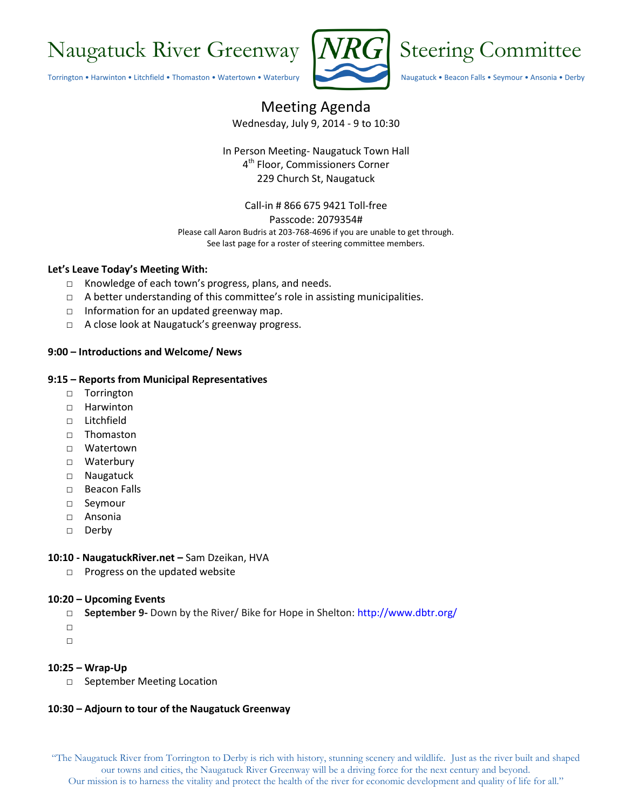# Naugatuck River Greenway  $|NRG|$  Steering Committee

Torrington • Harwinton • Litchfield • Thomaston • Watertown • Waterbury Naugatuck • Beacon Falls • Seymour • Ansonia • Derby





Meeting Agenda Wednesday, July 9, 2014 - 9 to 10:30

### In Person Meeting- Naugatuck Town Hall 4<sup>th</sup> Floor, Commissioners Corner 229 Church St, Naugatuck

#### Call-in # 866 675 9421 Toll-free

#### Passcode: 2079354#

Please call Aaron Budris at 203-768-4696 if you are unable to get through. See last page for a roster of steering committee members.

#### **Let's Leave Today's Meeting With:**

- □ Knowledge of each town's progress, plans, and needs.
- □ A better understanding of this committee's role in assisting municipalities.
- □ Information for an updated greenway map.
- □ A close look at Naugatuck's greenway progress.

#### **9:00 – Introductions and Welcome/ News**

#### **9:15 – Reports from Municipal Representatives**

- □ Torrington
- □ Harwinton
- □ Litchfield
- □ Thomaston
- □ Watertown
- □ Waterbury
- □ Naugatuck
- □ Beacon Falls
- □ Seymour
- □ Ansonia
- □ Derby

#### **10:10 - NaugatuckRiver.net –** Sam Dzeikan, HVA

□ Progress on the updated website

#### **10:20 – Upcoming Events**

- □ **September 9-** Down by the River/ Bike for Hope in Shelton: http://www.dbtr.org/
- □
- $\Box$

**10:25 – Wrap-Up**

□ September Meeting Location

#### **10:30 – Adjourn to tour of the Naugatuck Greenway**

"The Naugatuck River from Torrington to Derby is rich with history, stunning scenery and wildlife. Just as the river built and shaped our towns and cities, the Naugatuck River Greenway will be a driving force for the next century and beyond. Our mission is to harness the vitality and protect the health of the river for economic development and quality of life for all."